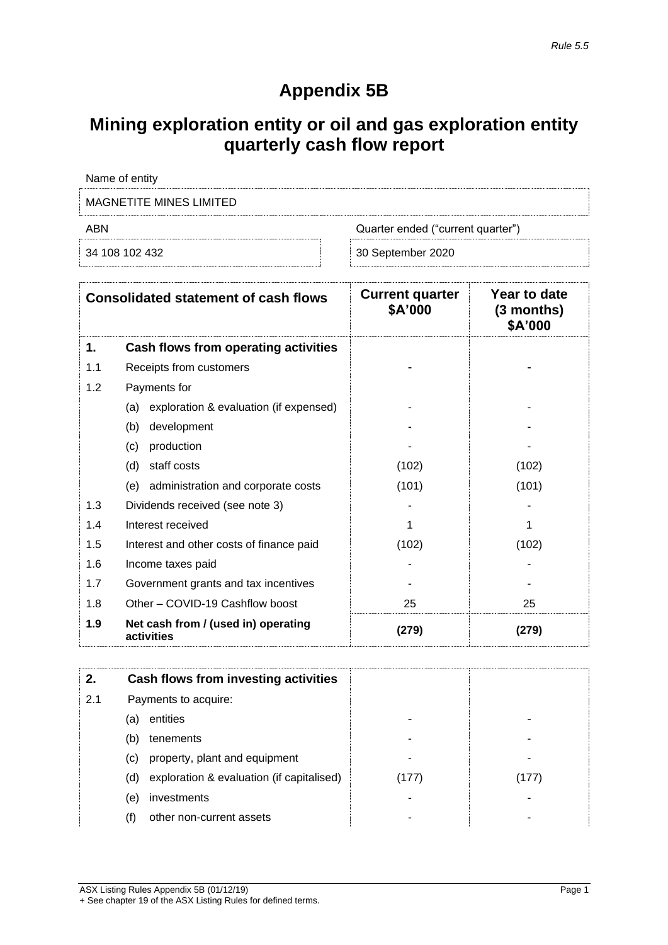# **Appendix 5B**

# **Mining exploration entity or oil and gas exploration entity quarterly cash flow report**

| Name of entity          |                                   |
|-------------------------|-----------------------------------|
| MAGNETITE MINES LIMITED |                                   |
| ABN                     | Quarter ended ("current quarter") |

| 34 108 102 432 | 30 September 2020 |  |
|----------------|-------------------|--|
|                |                   |  |

|     | <b>Consolidated statement of cash flows</b>       | <b>Current quarter</b><br>\$A'000 | Year to date<br>$(3$ months)<br>\$A'000 |
|-----|---------------------------------------------------|-----------------------------------|-----------------------------------------|
| 1.  | Cash flows from operating activities              |                                   |                                         |
| 1.1 | Receipts from customers                           |                                   |                                         |
| 1.2 | Payments for                                      |                                   |                                         |
|     | exploration & evaluation (if expensed)<br>(a)     |                                   |                                         |
|     | development<br>(b)                                |                                   |                                         |
|     | production<br>(c)                                 |                                   |                                         |
|     | (d)<br>staff costs                                | (102)                             | (102)                                   |
|     | (e) administration and corporate costs            | (101)                             | (101)                                   |
| 1.3 | Dividends received (see note 3)                   |                                   |                                         |
| 1.4 | Interest received                                 | 1                                 |                                         |
| 1.5 | Interest and other costs of finance paid          | (102)                             | (102)                                   |
| 1.6 | Income taxes paid                                 |                                   |                                         |
| 1.7 | Government grants and tax incentives              |                                   |                                         |
| 1.8 | Other - COVID-19 Cashflow boost                   | 25                                | 25                                      |
| 1.9 | Net cash from / (used in) operating<br>activities | (279)                             | (279)                                   |

| 2.  |     | Cash flows from investing activities      |       |       |
|-----|-----|-------------------------------------------|-------|-------|
| 2.1 |     | Payments to acquire:                      |       |       |
|     | (a) | entities                                  |       |       |
|     | (b) | tenements                                 | -     |       |
|     | (C) | property, plant and equipment             |       |       |
|     | (d) | exploration & evaluation (if capitalised) | (177) | (177) |
|     | (e) | investments                               |       |       |
|     | (f) | other non-current assets                  |       |       |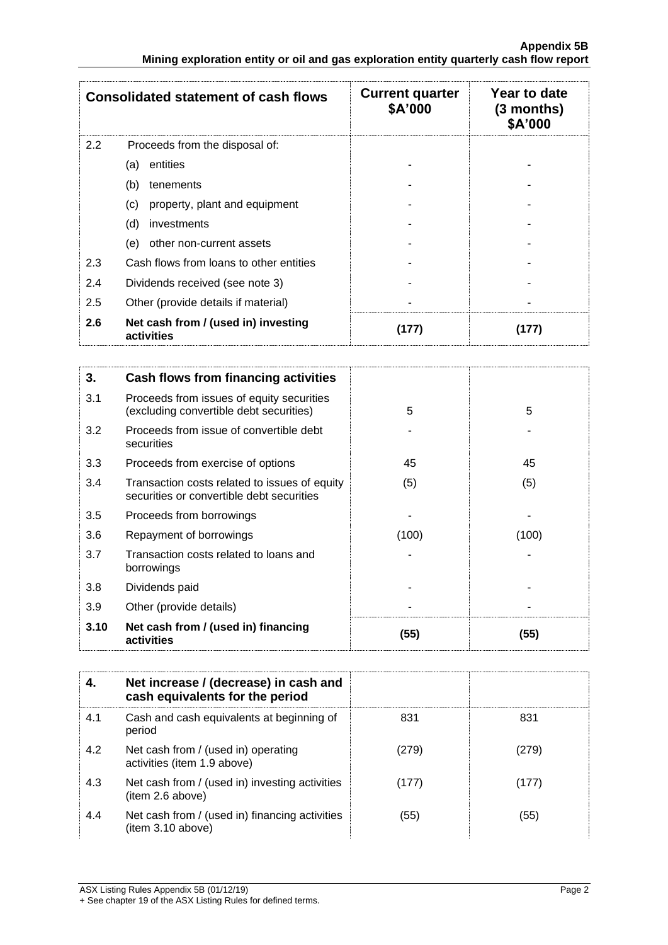|     | <b>Consolidated statement of cash flows</b>       | <b>Current quarter</b><br>\$A'000 | Year to date<br>$(3$ months)<br>\$A'000 |
|-----|---------------------------------------------------|-----------------------------------|-----------------------------------------|
| 2.2 | Proceeds from the disposal of:                    |                                   |                                         |
|     | entities<br>(a)                                   |                                   |                                         |
|     | (b)<br>tenements                                  |                                   |                                         |
|     | (c)<br>property, plant and equipment              |                                   |                                         |
|     | (d)<br>investments                                |                                   |                                         |
|     | other non-current assets<br>(e)                   |                                   |                                         |
| 2.3 | Cash flows from loans to other entities           |                                   |                                         |
| 2.4 | Dividends received (see note 3)                   |                                   |                                         |
| 2.5 | Other (provide details if material)               |                                   |                                         |
| 2.6 | Net cash from / (used in) investing<br>activities | (177)                             | 177)                                    |

| 3.   | Cash flows from financing activities                                                       |       |       |
|------|--------------------------------------------------------------------------------------------|-------|-------|
| 3.1  | Proceeds from issues of equity securities<br>(excluding convertible debt securities)       | 5     | 5     |
| 3.2  | Proceeds from issue of convertible debt<br>securities                                      |       |       |
| 3.3  | Proceeds from exercise of options                                                          | 45    | 45    |
| 3.4  | Transaction costs related to issues of equity<br>securities or convertible debt securities | (5)   | (5)   |
| 3.5  | Proceeds from borrowings                                                                   |       |       |
| 3.6  | Repayment of borrowings                                                                    | (100) | (100) |
| 3.7  | Transaction costs related to loans and<br>borrowings                                       |       |       |
| 3.8  | Dividends paid                                                                             |       |       |
| 3.9  | Other (provide details)                                                                    |       |       |
| 3.10 | Net cash from / (used in) financing<br>activities                                          | (55)  | (55)  |

|     | Net increase / (decrease) in cash and<br>cash equivalents for the period |       |       |
|-----|--------------------------------------------------------------------------|-------|-------|
| 4.1 | Cash and cash equivalents at beginning of<br>period                      | 831   | 831   |
| 4.2 | Net cash from / (used in) operating<br>activities (item 1.9 above)       | (279) | (279) |
| 4.3 | Net cash from / (used in) investing activities<br>(item 2.6 above)       | (177) | (177) |
| 4.4 | Net cash from / (used in) financing activities<br>(item 3.10 above)      | (55)  | (55)  |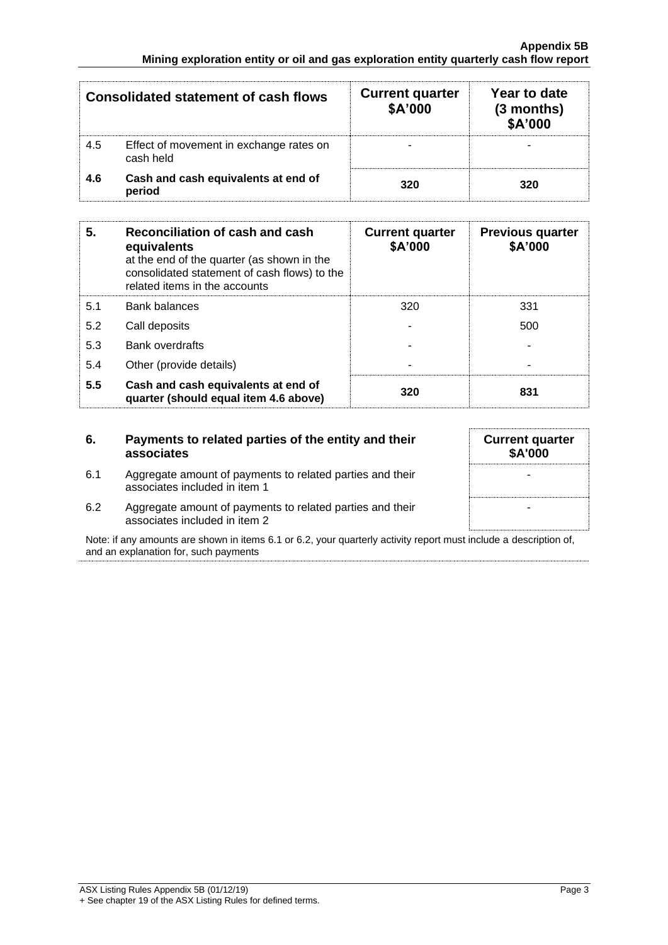|     | <b>Consolidated statement of cash flows</b>          | <b>Current quarter</b><br>\$A'000 | Year to date<br>$(3$ months)<br>\$A'000 |
|-----|------------------------------------------------------|-----------------------------------|-----------------------------------------|
| 4.5 | Effect of movement in exchange rates on<br>cash held |                                   |                                         |
| 4.6 | Cash and cash equivalents at end of<br>period        | 320                               | 320                                     |

| 5.  | Reconciliation of cash and cash<br>equivalents<br>at the end of the quarter (as shown in the<br>consolidated statement of cash flows) to the<br>related items in the accounts | <b>Current quarter</b><br>\$A'000 | <b>Previous quarter</b><br>\$A'000 |
|-----|-------------------------------------------------------------------------------------------------------------------------------------------------------------------------------|-----------------------------------|------------------------------------|
| 5.1 | <b>Bank balances</b>                                                                                                                                                          | 320                               | 331                                |
| 5.2 | Call deposits                                                                                                                                                                 |                                   | 500                                |
| 5.3 | <b>Bank overdrafts</b>                                                                                                                                                        |                                   |                                    |
| 5.4 | Other (provide details)                                                                                                                                                       | $\overline{\phantom{0}}$          |                                    |
| 5.5 | Cash and cash equivalents at end of<br>quarter (should equal item 4.6 above)                                                                                                  | 320                               | 831                                |

## **6. Payments to related parties of the entity and their associates**

- 6.1 Aggregate amount of payments to related parties and their associates included in item 1
- 6.2 Aggregate amount of payments to related parties and their associates included in item 2

Note: if any amounts are shown in items 6.1 or 6.2, your quarterly activity report must include a description of, and an explanation for, such payments

**Current quarter \$A'000**

-

-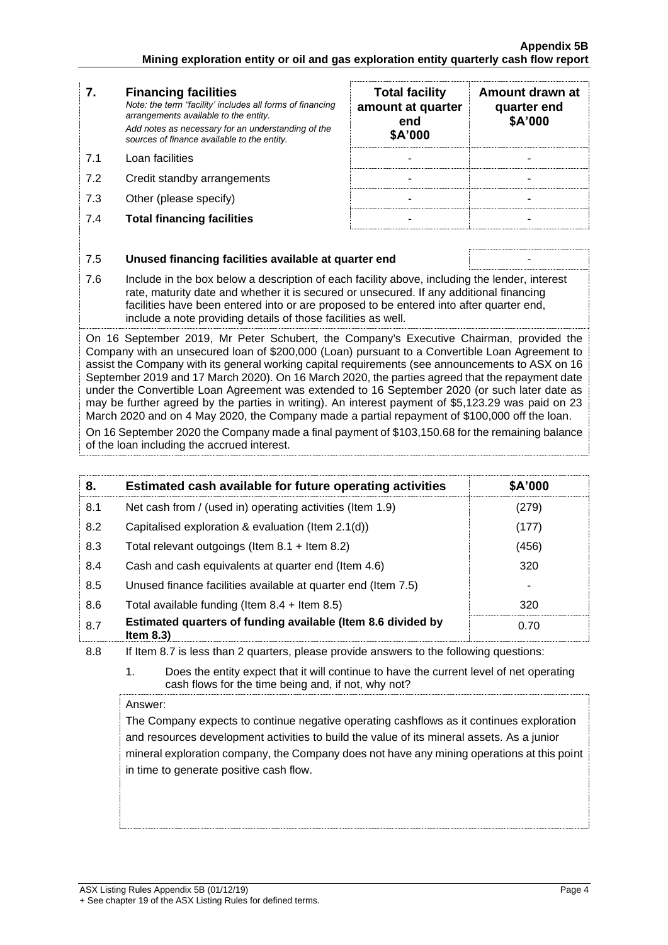#### **7. Financing facilities** *Note: the term "facility' includes all forms of financing arrangements available to the entity. Add notes as necessary for an understanding of the sources of finance available to the entity.* **end \$A'000**  7.1 Loan facilities 7.2 Credit standby arrangements 7.3 Other (please specify)

7.4 **Total financing facilities** - -

| <b>Total facility</b><br>amount at quarter<br>end<br>\$A'000 | Amount drawn at<br>quarter end<br>\$A'000 |
|--------------------------------------------------------------|-------------------------------------------|
|                                                              |                                           |
|                                                              |                                           |
|                                                              |                                           |
|                                                              |                                           |

| 7.5 | Unused financing facilities available at quarter end                                                                                                                                                                                                                                                                                                 |
|-----|------------------------------------------------------------------------------------------------------------------------------------------------------------------------------------------------------------------------------------------------------------------------------------------------------------------------------------------------------|
| 7.6 | Include in the box below a description of each facility above, including the lender, interest<br>rate, maturity date and whether it is secured or unsecured. If any additional financing<br>facilities have been entered into or are proposed to be entered into after quarter end,<br>include a note providing details of those facilities as well. |
|     | On 16 September 2019, Mr Peter Schubert, the Company's Executive Chairman, provided the<br>Company with an unsecured loan of \$200,000 (Loan) pursuant to a Convertible Loan Agreement to                                                                                                                                                            |

assist the Company with its general working capital requirements (see announcements to ASX on 16 September 2019 and 17 March 2020). On 16 March 2020, the parties agreed that the repayment date under the Convertible Loan Agreement was extended to 16 September 2020 (or such later date as may be further agreed by the parties in writing). An interest payment of \$5,123.29 was paid on 23 March 2020 and on 4 May 2020, the Company made a partial repayment of \$100,000 off the loan.

On 16 September 2020 the Company made a final payment of \$103,150.68 for the remaining balance of the loan including the accrued interest.

| 8.  | Estimated cash available for future operating activities                     | \$A'000 |
|-----|------------------------------------------------------------------------------|---------|
| 8.1 | Net cash from / (used in) operating activities (Item 1.9)                    | (279)   |
| 8.2 | Capitalised exploration & evaluation (Item $2.1(d)$ )                        | (177)   |
| 8.3 | Total relevant outgoings (Item $8.1 +$ Item $8.2$ )                          | (456)   |
| 8.4 | Cash and cash equivalents at quarter end (Item 4.6)                          | 320     |
| 8.5 | Unused finance facilities available at quarter end (Item 7.5)                |         |
| 8.6 | Total available funding (Item $8.4 +$ Item $8.5$ )                           | 320     |
| 8.7 | Estimated quarters of funding available (Item 8.6 divided by<br>Item $8.3$ ) | 0.70    |

8.8 If Item 8.7 is less than 2 quarters, please provide answers to the following questions:

1. Does the entity expect that it will continue to have the current level of net operating cash flows for the time being and, if not, why not?

Answer:

The Company expects to continue negative operating cashflows as it continues exploration and resources development activities to build the value of its mineral assets. As a junior mineral exploration company, the Company does not have any mining operations at this point in time to generate positive cash flow.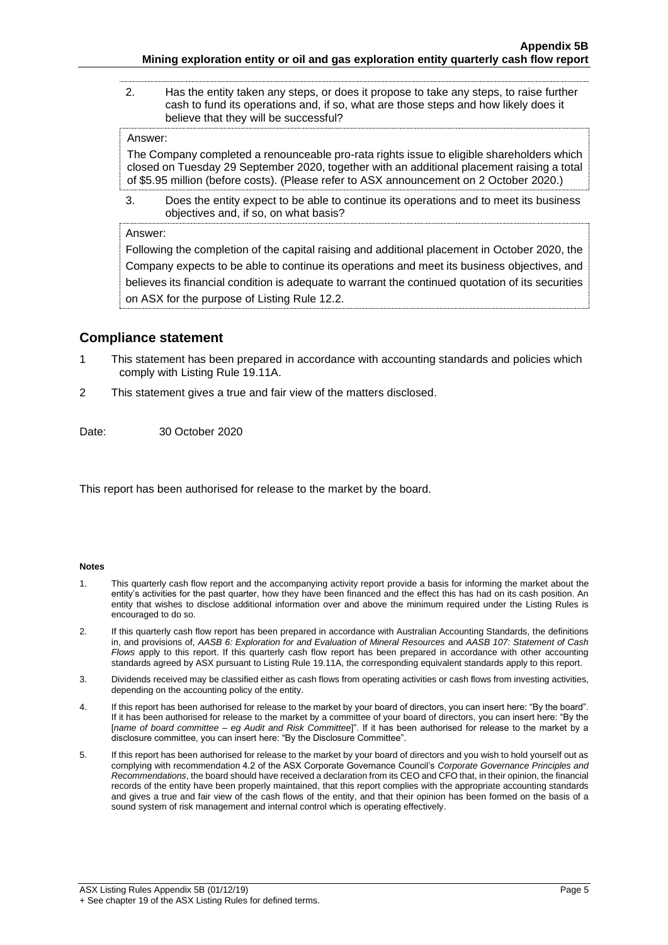2. Has the entity taken any steps, or does it propose to take any steps, to raise further cash to fund its operations and, if so, what are those steps and how likely does it believe that they will be successful?

#### Answer:

The Company completed a renounceable pro-rata rights issue to eligible shareholders which closed on Tuesday 29 September 2020, together with an additional placement raising a total of \$5.95 million (before costs). (Please refer to ASX announcement on 2 October 2020.)

3. Does the entity expect to be able to continue its operations and to meet its business objectives and, if so, on what basis?

### Answer:

Following the completion of the capital raising and additional placement in October 2020, the Company expects to be able to continue its operations and meet its business objectives, and believes its financial condition is adequate to warrant the continued quotation of its securities on ASX for the purpose of Listing Rule 12.2.

### **Compliance statement**

- 1 This statement has been prepared in accordance with accounting standards and policies which comply with Listing Rule 19.11A.
- 2 This statement gives a true and fair view of the matters disclosed.

Date: 30 October 2020

This report has been authorised for release to the market by the board.

#### **Notes**

- 1. This quarterly cash flow report and the accompanying activity report provide a basis for informing the market about the entity's activities for the past quarter, how they have been financed and the effect this has had on its cash position. An entity that wishes to disclose additional information over and above the minimum required under the Listing Rules is encouraged to do so.
- 2. If this quarterly cash flow report has been prepared in accordance with Australian Accounting Standards, the definitions in, and provisions of, *AASB 6: Exploration for and Evaluation of Mineral Resources* and *AASB 107: Statement of Cash Flows* apply to this report. If this quarterly cash flow report has been prepared in accordance with other accounting standards agreed by ASX pursuant to Listing Rule 19.11A, the corresponding equivalent standards apply to this report.
- 3. Dividends received may be classified either as cash flows from operating activities or cash flows from investing activities, depending on the accounting policy of the entity.
- 4. If this report has been authorised for release to the market by your board of directors, you can insert here: "By the board". If it has been authorised for release to the market by a committee of your board of directors, you can insert here: "By the [*name of board committee* – *eg Audit and Risk Committee*]". If it has been authorised for release to the market by a disclosure committee, you can insert here: "By the Disclosure Committee".
- 5. If this report has been authorised for release to the market by your board of directors and you wish to hold yourself out as complying with recommendation 4.2 of the ASX Corporate Governance Council's *Corporate Governance Principles and Recommendations*, the board should have received a declaration from its CEO and CFO that, in their opinion, the financial records of the entity have been properly maintained, that this report complies with the appropriate accounting standards and gives a true and fair view of the cash flows of the entity, and that their opinion has been formed on the basis of a sound system of risk management and internal control which is operating effectively.